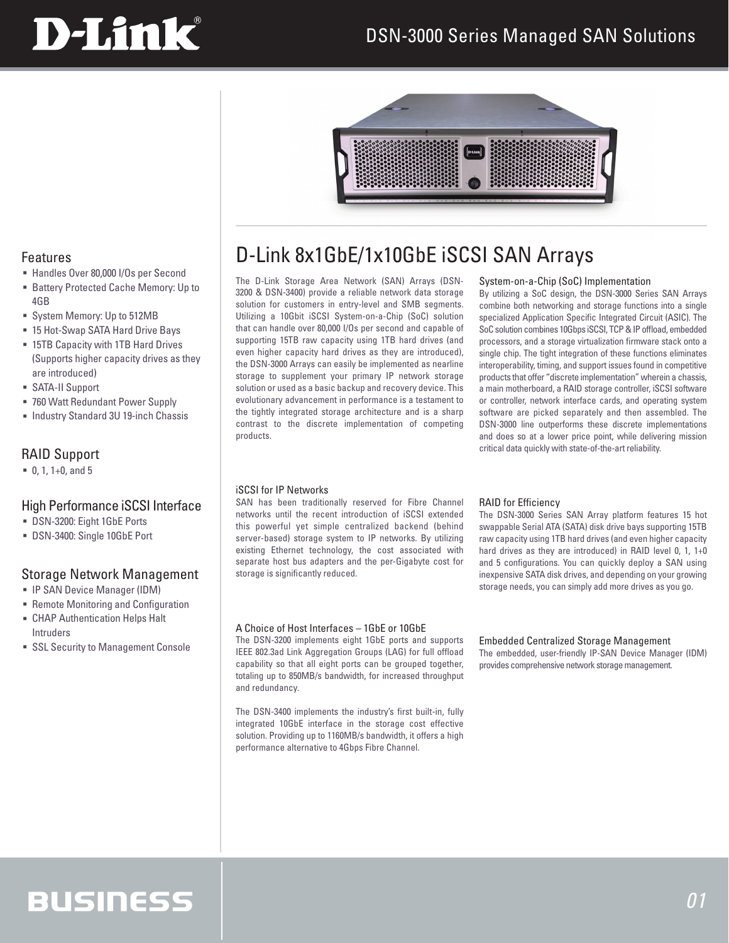### DSN-3000 Series Managed SAN Solutions





- Handles Over 80,000 I/Os per Second
- Battery Protected Cache Memory: Up to 4GB
- System Memory: Up to 512MB
- 15 Hot-Swap SATA Hard Drive Bays
- **15TB Capacity with 1TB Hard Drives** (Supports higher capacity drives as they are introduced)
- SATA-II Support
- 760 Watt Redundant Power Supply
- **Industry Standard 3U 19-inch Chassis**

### RAID Support

 $0, 1, 1+0,$  and 5

### High Performance iSCSI Interface

- DSN-3200: Eight 1GbE Ports
- DSN-3400: Single 10GbE Port

### Storage Network Management

- IP SAN Device Manager (IDM)
- Remote Monitoring and Configuration
- CHAP Authentication Helps Halt Intruders
- SSL Security to Management Console

### Features **D-Link 8x1GbE/1x10GbE iSCSI SAN Arrays**

The D-Link Storage Area Network (SAN) Arrays (DSN-3200 & DSN-3400) provide a reliable network data storage solution for customers in entry-level and SMB segments. Utilizing a 10Gbit iSCSI System-on-a-Chip (SoC) solution that can handle over 80,000 I/Os per second and capable of supporting 15TB raw capacity using 1TB hard drives (and even higher capacity hard drives as they are introduced), the DSN-3000 Arrays can easily be implemented as nearline storage to supplement your primary IP network storage solution or used as a basic backup and recovery device. This evolutionary advancement in performance is a testament to the tightly integrated storage architecture and is a sharp contrast to the discrete implementation of competing products.

### System-on-a-Chip (SoC) Implementation

By utilizing a SoC design, the DSN-3000 Series SAN Arrays combine both networking and storage functions into a single specialized Application Specific Integrated Circuit (ASIC). The SoC solution combines 10Gbps iSCSI, TCP & IP offload, embedded processors, and a storage virtualization firmware stack onto a single chip. The tight integration of these functions eliminates interoperability, timing, and support issues found in competitive products that offer "discrete implementation" wherein a chassis, a main motherboard, a RAID storage controller, iSCSI software or controller, network interface cards, and operating system software are picked separately and then assembled. The DSN-3000 line outperforms these discrete implementations and does so at a lower price point, while delivering mission critical data quickly with state-of-the-art reliability.

### iSCSI for IP Networks

SAN has been traditionally reserved for Fibre Channel networks until the recent introduction of iSCSI extended this powerful yet simple centralized backend (behind server-based) storage system to IP networks. By utilizing existing Ethernet technology, the cost associated with separate host bus adapters and the per-Gigabyte cost for storage is significantly reduced.

#### RAID for Efficiency

The DSN-3000 Series SAN Array platform features 15 hot swappable Serial ATA (SATA) disk drive bays supporting 15TB raw capacity using 1TB hard drives (and even higher capacity hard drives as they are introduced) in RAID level 0, 1, 1+0 and 5 configurations. You can quickly deploy a SAN using inexpensive SATA disk drives, and depending on your growing storage needs, you can simply add more drives as you go.

### A Choice of Host Interfaces – 1GbE or 10GbE

The DSN-3200 implements eight 1GbE ports and supports IEEE 802.3ad Link Aggregation Groups (LAG) for full offload capability so that all eight ports can be grouped together, totaling up to 850MB/s bandwidth, for increased throughput and redundancy.

The DSN-3400 implements the industry's first built-in, fully integrated 10GbE interface in the storage cost effective solution. Providing up to 1160MB/s bandwidth, it offers a high performance alternative to 4Gbps Fibre Channel.

#### Embedded Centralized Storage Management

The embedded, user-friendly IP-SAN Device Manager (IDM) provides comprehensive network storage management.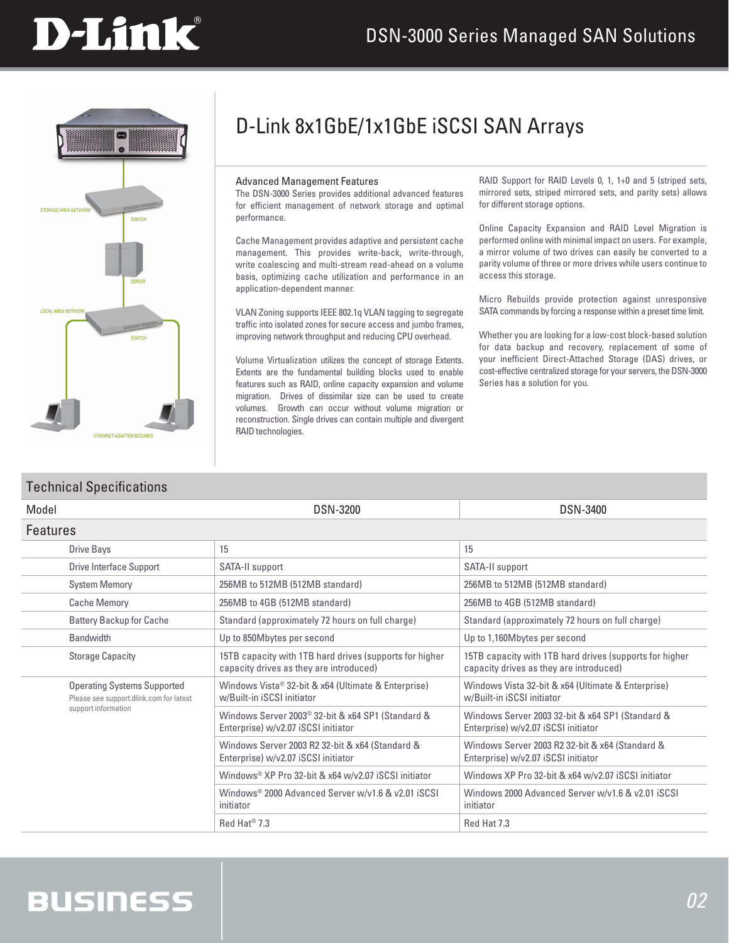# **D-Link**



### D-Link 8x1GbE/1x1GbE iSCSI SAN Arrays

### Advanced Management Features

The DSN-3000 Series provides additional advanced features for efficient management of network storage and optimal performance.

Cache Management provides adaptive and persistent cache management. This provides write-back, write-through, write coalescing and multi-stream read-ahead on a volume basis, optimizing cache utilization and performance in an application-dependent manner.

VLAN Zoning supports IEEE 802.1q VLAN tagging to segregate traffic into isolated zones for secure access and jumbo frames, improving network throughput and reducing CPU overhead.

Volume Virtualization utilizes the concept of storage Extents. Extents are the fundamental building blocks used to enable features such as RAID, online capacity expansion and volume migration. Drives of dissimilar size can be used to create volumes. Growth can occur without volume migration or reconstruction. Single drives can contain multiple and divergent RAID technologies.

RAID Support for RAID Levels 0, 1, 1+0 and 5 (striped sets, mirrored sets, striped mirrored sets, and parity sets) allows for different storage options.

Online Capacity Expansion and RAID Level Migration is performed online with minimal impact on users. For example, a mirror volume of two drives can easily be converted to a parity volume of three or more drives while users continue to access this storage.

Micro Rebuilds provide protection against unresponsive SATA commands by forcing a response within a preset time limit.

Whether you are looking for a low-cost block-based solution for data backup and recovery, replacement of some of your inefficient Direct-Attached Storage (DAS) drives, or cost-effective centralized storage for your servers, the DSN-3000 Series has a solution for you.

### Technical Specifications

| Model                                                                         | DSN-3200                                                                                             | DSN-3400                                                                                           |
|-------------------------------------------------------------------------------|------------------------------------------------------------------------------------------------------|----------------------------------------------------------------------------------------------------|
| <b>Features</b>                                                               |                                                                                                      |                                                                                                    |
| Drive Bays                                                                    | 15                                                                                                   | 15                                                                                                 |
| Drive Interface Support                                                       | SATA-II support                                                                                      | SATA-II support                                                                                    |
| <b>System Memory</b>                                                          | 256MB to 512MB (512MB standard)                                                                      | 256MB to 512MB (512MB standard)                                                                    |
| <b>Cache Memory</b>                                                           | 256MB to 4GB (512MB standard)                                                                        | 256MB to 4GB (512MB standard)                                                                      |
| <b>Battery Backup for Cache</b>                                               | Standard (approximately 72 hours on full charge)                                                     | Standard (approximately 72 hours on full charge)                                                   |
| <b>Bandwidth</b>                                                              | Up to 850Mbytes per second                                                                           | Up to 1,160Mbytes per second                                                                       |
| <b>Storage Capacity</b>                                                       | 15TB capacity with 1TB hard drives (supports for higher<br>capacity drives as they are introduced)   | 15TB capacity with 1TB hard drives (supports for higher<br>capacity drives as they are introduced) |
| <b>Operating Systems Supported</b><br>Please see support.dlink.com for latest | Windows Vista <sup>®</sup> 32-bit & x64 (Ultimate & Enterprise)<br>w/Built-in iSCSI initiator        | Windows Vista 32-bit & x64 (Ultimate & Enterprise)<br>w/Built-in iSCSI initiator                   |
| support information                                                           | Windows Server 2003 <sup>®</sup> 32-bit & x64 SP1 (Standard &<br>Enterprise) w/v2.07 iSCSI initiator | Windows Server 2003 32-bit & x64 SP1 (Standard &<br>Enterprise) w/v2.07 iSCSI initiator            |
|                                                                               | Windows Server 2003 R2 32-bit & x64 (Standard &<br>Enterprise) w/v2.07 iSCSI initiator               | Windows Server 2003 R2 32-bit & x64 (Standard &<br>Enterprise) w/v2.07 iSCSI initiator             |
|                                                                               | Windows <sup>®</sup> XP Pro 32-bit & x64 w/v2.07 iSCSI initiator                                     | Windows XP Pro 32-bit & x64 w/v2.07 iSCSI initiator                                                |
|                                                                               | Windows <sup>®</sup> 2000 Advanced Server w/v1.6 & v2.01 iSCSI<br>initiator                          | Windows 2000 Advanced Server w/v1.6 & v2.01 iSCSI<br>initiator                                     |
|                                                                               | Red Hat <sup>®</sup> 7.3                                                                             | Red Hat 7.3                                                                                        |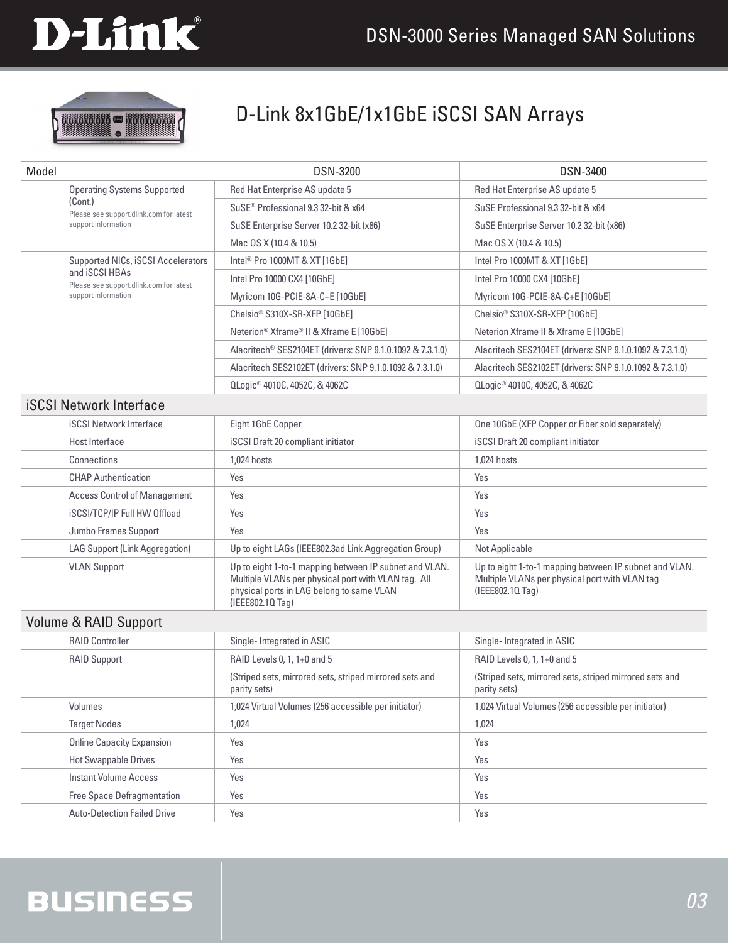# D-Link®



## D-Link 8x1GbE/1x1GbE iSCSI SAN Arrays

| Model                                                     | <b>DSN-3200</b>                                                                                                                                                                | <b>DSN-3400</b>                                                                                                              |
|-----------------------------------------------------------|--------------------------------------------------------------------------------------------------------------------------------------------------------------------------------|------------------------------------------------------------------------------------------------------------------------------|
| <b>Operating Systems Supported</b>                        | Red Hat Enterprise AS update 5                                                                                                                                                 | Red Hat Enterprise AS update 5                                                                                               |
| (Cont.)<br>Please see support.dlink.com for latest        | SuSE <sup>®</sup> Professional 9.3 32-bit & x64                                                                                                                                | SuSE Professional 9.3 32-bit & x64                                                                                           |
| support information                                       | SuSE Enterprise Server 10.2 32-bit (x86)                                                                                                                                       | SuSE Enterprise Server 10.2 32-bit (x86)                                                                                     |
|                                                           | Mac OS X (10.4 & 10.5)                                                                                                                                                         | Mac OS X (10.4 & 10.5)                                                                                                       |
| Supported NICs, iSCSI Accelerators                        | Intel <sup>®</sup> Pro 1000MT & XT [1GbE]                                                                                                                                      | Intel Pro 1000MT & XT [1GbE]                                                                                                 |
| and iSCSI HBAs<br>Please see support.dlink.com for latest | Intel Pro 10000 CX4 [10GbE]                                                                                                                                                    | Intel Pro 10000 CX4 [10GbE]                                                                                                  |
| support information                                       | Myricom 10G-PCIE-8A-C+E [10GbE]                                                                                                                                                | Myricom 10G-PCIE-8A-C+E [10GbE]                                                                                              |
|                                                           | Chelsio <sup>®</sup> S310X-SR-XFP [10GbE]                                                                                                                                      | Chelsio <sup>®</sup> S310X-SR-XFP [10GbE]                                                                                    |
|                                                           | Neterion <sup>®</sup> Xframe <sup>®</sup> II & Xframe E [10GbE]                                                                                                                | Neterion Xframe II & Xframe E [10GbE]                                                                                        |
|                                                           | Alacritech <sup>®</sup> SES2104ET (drivers: SNP 9.1.0.1092 & 7.3.1.0)                                                                                                          | Alacritech SES2104ET (drivers: SNP 9.1.0.1092 & 7.3.1.0)                                                                     |
|                                                           | Alacritech SES2102ET (drivers: SNP 9.1.0.1092 & 7.3.1.0)                                                                                                                       | Alacritech SES2102ET (drivers: SNP 9.1.0.1092 & 7.3.1.0)                                                                     |
|                                                           | QLogic <sup>®</sup> 4010C, 4052C, & 4062C                                                                                                                                      | QLogic <sup>®</sup> 4010C, 4052C, & 4062C                                                                                    |
| <b>iSCSI Network Interface</b>                            |                                                                                                                                                                                |                                                                                                                              |
| <b>iSCSI Network Interface</b>                            | Eight 1GbE Copper                                                                                                                                                              | One 10GbE (XFP Copper or Fiber sold separately)                                                                              |
| Host Interface                                            | iSCSI Draft 20 compliant initiator                                                                                                                                             | iSCSI Draft 20 compliant initiator                                                                                           |
| Connections                                               | 1.024 hosts                                                                                                                                                                    | 1,024 hosts                                                                                                                  |
| <b>CHAP Authentication</b>                                | Yes                                                                                                                                                                            | Yes                                                                                                                          |
| <b>Access Control of Management</b>                       | Yes                                                                                                                                                                            | Yes                                                                                                                          |
| <b>iSCSI/TCP/IP Full HW Offload</b>                       | Yes                                                                                                                                                                            | Yes                                                                                                                          |
| Jumbo Frames Support                                      | Yes                                                                                                                                                                            | Yes                                                                                                                          |
| LAG Support (Link Aggregation)                            | Up to eight LAGs (IEEE802.3ad Link Aggregation Group)                                                                                                                          | Not Applicable                                                                                                               |
| <b>VLAN Support</b>                                       | Up to eight 1-to-1 mapping between IP subnet and VLAN.<br>Multiple VLANs per physical port with VLAN tag. All<br>physical ports in LAG belong to same VLAN<br>(IEEE802.10 Tag) | Up to eight 1-to-1 mapping between IP subnet and VLAN.<br>Multiple VLANs per physical port with VLAN tag<br>(IEEE802.10 Tag) |
| Volume & RAID Support                                     |                                                                                                                                                                                |                                                                                                                              |
| <b>RAID Controller</b>                                    | Single-Integrated in ASIC                                                                                                                                                      | Single- Integrated in ASIC                                                                                                   |
| <b>RAID Support</b>                                       | RAID Levels 0, 1, 1+0 and 5                                                                                                                                                    | RAID Levels 0, 1, 1+0 and 5                                                                                                  |
|                                                           | (Striped sets, mirrored sets, striped mirrored sets and<br>parity sets)                                                                                                        | (Striped sets, mirrored sets, striped mirrored sets and<br>parity sets)                                                      |
| Volumes                                                   | 1,024 Virtual Volumes (256 accessible per initiator)                                                                                                                           | 1,024 Virtual Volumes (256 accessible per initiator)                                                                         |
| <b>Target Nodes</b>                                       | 1,024                                                                                                                                                                          | 1,024                                                                                                                        |
| <b>Online Capacity Expansion</b>                          | Yes                                                                                                                                                                            | Yes                                                                                                                          |
| <b>Hot Swappable Drives</b>                               | Yes                                                                                                                                                                            | Yes                                                                                                                          |
| <b>Instant Volume Access</b>                              | Yes                                                                                                                                                                            | Yes                                                                                                                          |
| <b>Free Space Defragmentation</b>                         | Yes                                                                                                                                                                            | Yes                                                                                                                          |
| <b>Auto-Detection Failed Drive</b>                        | Yes                                                                                                                                                                            | Yes                                                                                                                          |